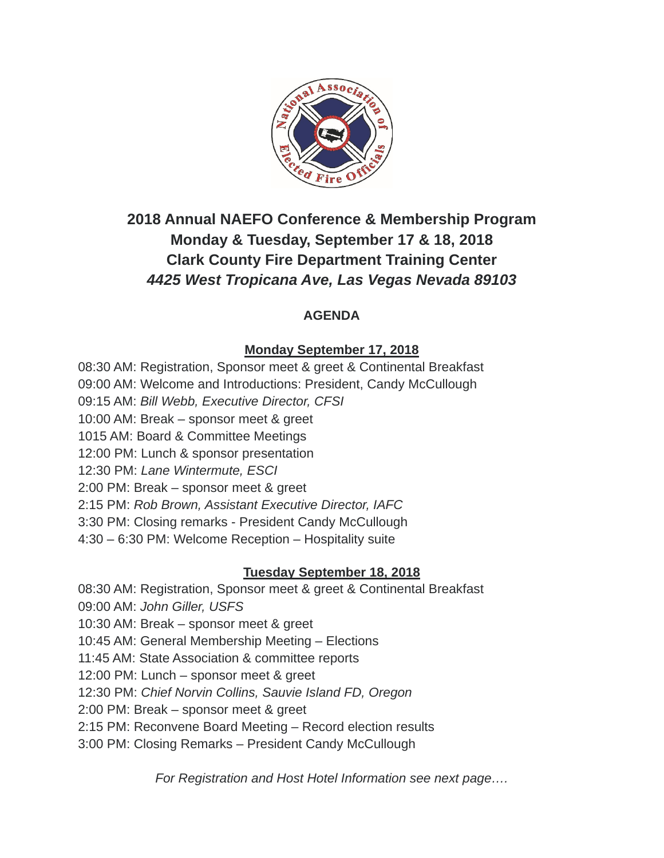

# **2018 Annual NAEFO Conference & Membership Program Monday & Tuesday, September 17 & 18, 2018 Clark County Fire Department Training Center** *4425 West Tropicana Ave, Las Vegas Nevada 89103*

### **AGENDA**

### **Monday September 17, 2018**

08:30 AM: Registration, Sponsor meet & greet & Continental Breakfast 09:00 AM: Welcome and Introductions: President, Candy McCullough 09:15 AM: *Bill Webb, Executive Director, CFSI* 10:00 AM: Break – sponsor meet & greet 1015 AM: Board & Committee Meetings 12:00 PM: Lunch & sponsor presentation 12:30 PM: *Lane Wintermute, ESCI* 2:00 PM: Break – sponsor meet & greet 2:15 PM: *Rob Brown, Assistant Executive Director, IAFC* 3:30 PM: Closing remarks - President Candy McCullough 4:30 – 6:30 PM: Welcome Reception – Hospitality suite

#### **Tuesday September 18, 2018**

08:30 AM: Registration, Sponsor meet & greet & Continental Breakfast 09:00 AM: *John Giller, USFS* 10:30 AM: Break – sponsor meet & greet 10:45 AM: General Membership Meeting – Elections 11:45 AM: State Association & committee reports 12:00 PM: Lunch – sponsor meet & greet 12:30 PM: *Chief Norvin Collins, Sauvie Island FD, Oregon* 2:00 PM: Break – sponsor meet & greet 2:15 PM: Reconvene Board Meeting – Record election results 3:00 PM: Closing Remarks – President Candy McCullough

*For Registration and Host Hotel Information see next page….*